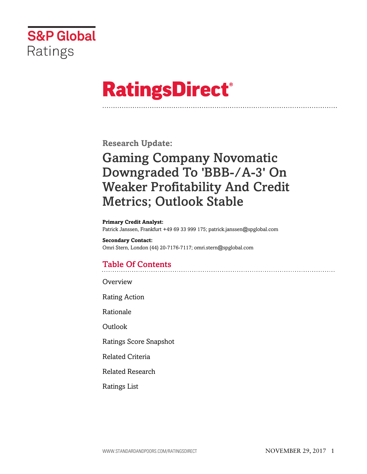

# **RatingsDirect®**

**Research Update:**

# Gaming Company Novomatic Downgraded To 'BBB-/A-3' On Weaker Profitability And Credit Metrics; Outlook Stable

#### **Primary Credit Analyst:**

Patrick Janssen, Frankfurt +49 69 33 999 175; patrick.janssen@spglobal.com

#### **Secondary Contact:** Omri Stern, London (44) 20-7176-7117; omri.stern@spglobal.com

# Table Of Contents

**[Overview](#page-1-0)** 

[Rating Action](#page-1-1)

[Rationale](#page-1-2)

[Outlook](#page-4-0)

[Ratings Score Snapshot](#page-5-0)

[Related Criteria](#page-5-1)

[Related Research](#page-5-2)

[Ratings List](#page-6-0)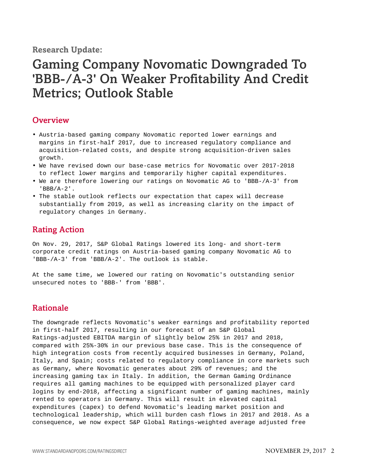**Research Update:**

# Gaming Company Novomatic Downgraded To 'BBB-/A-3' On Weaker Profitability And Credit Metrics; Outlook Stable

## <span id="page-1-0"></span>**Overview**

- Austria-based gaming company Novomatic reported lower earnings and margins in first-half 2017, due to increased regulatory compliance and acquisition-related costs, and despite strong acquisition-driven sales growth.
- We have revised down our base-case metrics for Novomatic over 2017-2018 to reflect lower margins and temporarily higher capital expenditures.
- We are therefore lowering our ratings on Novomatic AG to 'BBB-/A-3' from 'BBB/A-2'.
- The stable outlook reflects our expectation that capex will decrease substantially from 2019, as well as increasing clarity on the impact of regulatory changes in Germany.

# <span id="page-1-1"></span>Rating Action

On Nov. 29, 2017, S&P Global Ratings lowered its long- and short-term corporate credit ratings on Austria-based gaming company Novomatic AG to 'BBB-/A-3' from 'BBB/A-2'. The outlook is stable.

At the same time, we lowered our rating on Novomatic's outstanding senior unsecured notes to 'BBB-' from 'BBB'.

# <span id="page-1-2"></span>Rationale

The downgrade reflects Novomatic's weaker earnings and profitability reported in first-half 2017, resulting in our forecast of an S&P Global Ratings-adjusted EBITDA margin of slightly below 25% in 2017 and 2018, compared with 25%-30% in our previous base case. This is the consequence of high integration costs from recently acquired businesses in Germany, Poland, Italy, and Spain; costs related to regulatory compliance in core markets such as Germany, where Novomatic generates about 29% of revenues; and the increasing gaming tax in Italy. In addition, the German Gaming Ordinance requires all gaming machines to be equipped with personalized player card logins by end-2018, affecting a significant number of gaming machines, mainly rented to operators in Germany. This will result in elevated capital expenditures (capex) to defend Novomatic's leading market position and technological leadership, which will burden cash flows in 2017 and 2018. As a consequence, we now expect S&P Global Ratings-weighted average adjusted free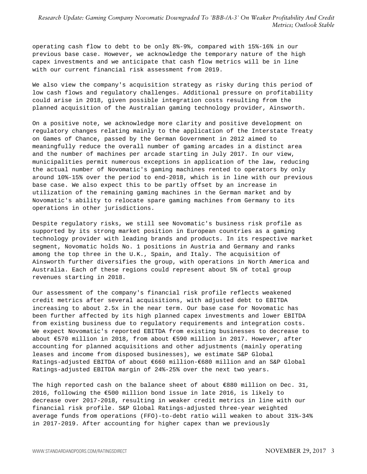*Research Update: Gaming Company Novomatic Downgraded To 'BBB-/A-3' On Weaker Profitability And Credit Metrics; Outlook Stable*

operating cash flow to debt to be only 8%-9%, compared with 15%-16% in our previous base case. However, we acknowledge the temporary nature of the high capex investments and we anticipate that cash flow metrics will be in line with our current financial risk assessment from 2019.

We also view the company's acquisition strategy as risky during this period of low cash flows and regulatory challenges. Additional pressure on profitability could arise in 2018, given possible integration costs resulting from the planned acquisition of the Australian gaming technology provider, Ainsworth.

On a positive note, we acknowledge more clarity and positive development on regulatory changes relating mainly to the application of the Interstate Treaty on Games of Chance, passed by the German Government in 2012 aimed to meaningfully reduce the overall number of gaming arcades in a distinct area and the number of machines per arcade starting in July 2017. In our view, municipalities permit numerous exceptions in application of the law, reducing the actual number of Novomatic's gaming machines rented to operators by only around 10%-15% over the period to end-2018, which is in line with our previous base case. We also expect this to be partly offset by an increase in utilization of the remaining gaming machines in the German market and by Novomatic's ability to relocate spare gaming machines from Germany to its operations in other jurisdictions.

Despite regulatory risks, we still see Novomatic's business risk profile as supported by its strong market position in European countries as a gaming technology provider with leading brands and products. In its respective market segment, Novomatic holds No. 1 positions in Austria and Germany and ranks among the top three in the U.K., Spain, and Italy. The acquisition of Ainsworth further diversifies the group, with operations in North America and Australia. Each of these regions could represent about 5% of total group revenues starting in 2018.

Our assessment of the company's financial risk profile reflects weakened credit metrics after several acquisitions, with adjusted debt to EBITDA increasing to about 2.5x in the near term. Our base case for Novomatic has been further affected by its high planned capex investments and lower EBITDA from existing business due to regulatory requirements and integration costs. We expect Novomatic's reported EBITDA from existing businesses to decrease to about €570 million in 2018, from about €590 million in 2017. However, after accounting for planned acquisitions and other adjustments (mainly operating leases and income from disposed businesses), we estimate S&P Global Ratings-adjusted EBITDA of about €660 million-€680 million and an S&P Global Ratings-adjusted EBITDA margin of 24%-25% over the next two years.

The high reported cash on the balance sheet of about €880 million on Dec. 31, 2016, following the €500 million bond issue in late 2016, is likely to decrease over 2017-2018, resulting in weaker credit metrics in line with our financial risk profile. S&P Global Ratings-adjusted three-year weighted average funds from operations (FFO)-to-debt ratio will weaken to about 31%-34% in 2017-2019. After accounting for higher capex than we previously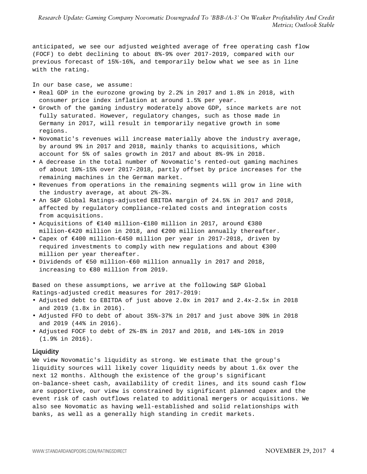anticipated, we see our adjusted weighted average of free operating cash flow (FOCF) to debt declining to about 8%-9% over 2017-2019, compared with our previous forecast of 15%-16%, and temporarily below what we see as in line with the rating.

In our base case, we assume:

- Real GDP in the eurozone growing by 2.2% in 2017 and 1.8% in 2018, with consumer price index inflation at around 1.5% per year.
- Growth of the gaming industry moderately above GDP, since markets are not fully saturated. However, regulatory changes, such as those made in Germany in 2017, will result in temporarily negative growth in some regions.
- Novomatic's revenues will increase materially above the industry average, by around 9% in 2017 and 2018, mainly thanks to acquisitions, which account for 5% of sales growth in 2017 and about 8%-9% in 2018.
- A decrease in the total number of Novomatic's rented-out gaming machines of about 10%-15% over 2017-2018, partly offset by price increases for the remaining machines in the German market.
- Revenues from operations in the remaining segments will grow in line with the industry average, at about 2%-3%.
- An S&P Global Ratings-adjusted EBITDA margin of 24.5% in 2017 and 2018, affected by regulatory compliance-related costs and integration costs from acquisitions.
- Acquisitions of €140 million-€180 million in 2017, around €380 million-€420 million in 2018, and €200 million annually thereafter.
- Capex of €400 million-€450 million per year in 2017-2018, driven by required investments to comply with new regulations and about €300 million per year thereafter.
- Dividends of €50 million-€60 million annually in 2017 and 2018, increasing to €80 million from 2019.

Based on these assumptions, we arrive at the following S&P Global Ratings-adjusted credit measures for 2017-2019:

- Adjusted debt to EBITDA of just above 2.0x in 2017 and 2.4x-2.5x in 2018 and 2019 (1.8x in 2016).
- Adjusted FFO to debt of about 35%-37% in 2017 and just above 30% in 2018 and 2019 (44% in 2016).
- Adjusted FOCF to debt of 2%-8% in 2017 and 2018, and 14%-16% in 2019 (1.9% in 2016).

#### Liquidity

We view Novomatic's liquidity as strong. We estimate that the group's liquidity sources will likely cover liquidity needs by about 1.6x over the next 12 months. Although the existence of the group's significant on-balance-sheet cash, availability of credit lines, and its sound cash flow are supportive, our view is constrained by significant planned capex and the event risk of cash outflows related to additional mergers or acquisitions. We also see Novomatic as having well-established and solid relationships with banks, as well as a generally high standing in credit markets.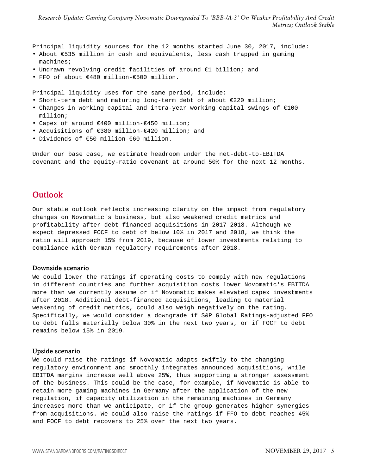Principal liquidity sources for the 12 months started June 30, 2017, include:

- About €535 million in cash and equivalents, less cash trapped in gaming machines;
- Undrawn revolving credit facilities of around €1 billion; and
- FFO of about €480 million-€500 million.

Principal liquidity uses for the same period, include:

- Short-term debt and maturing long-term debt of about €220 million;
- Changes in working capital and intra-year working capital swings of €100 million;
- Capex of around €400 million-€450 million;
- Acquisitions of €380 million-€420 million; and
- Dividends of €50 million-€60 million.

Under our base case, we estimate headroom under the net-debt-to-EBITDA covenant and the equity-ratio covenant at around 50% for the next 12 months.

### <span id="page-4-0"></span>**Outlook**

Our stable outlook reflects increasing clarity on the impact from regulatory changes on Novomatic's business, but also weakened credit metrics and profitability after debt-financed acquisitions in 2017-2018. Although we expect depressed FOCF to debt of below 10% in 2017 and 2018, we think the ratio will approach 15% from 2019, because of lower investments relating to compliance with German regulatory requirements after 2018.

#### Downside scenario

We could lower the ratings if operating costs to comply with new regulations in different countries and further acquisition costs lower Novomatic's EBITDA more than we currently assume or if Novomatic makes elevated capex investments after 2018. Additional debt-financed acquisitions, leading to material weakening of credit metrics, could also weigh negatively on the rating. Specifically, we would consider a downgrade if S&P Global Ratings-adjusted FFO to debt falls materially below 30% in the next two years, or if FOCF to debt remains below 15% in 2019.

#### Upside scenario

We could raise the ratings if Novomatic adapts swiftly to the changing regulatory environment and smoothly integrates announced acquisitions, while EBITDA margins increase well above 25%, thus supporting a stronger assessment of the business. This could be the case, for example, if Novomatic is able to retain more gaming machines in Germany after the application of the new regulation, if capacity utilization in the remaining machines in Germany increases more than we anticipate, or if the group generates higher synergies from acquisitions. We could also raise the ratings if FFO to debt reaches 45% and FOCF to debt recovers to 25% over the next two years.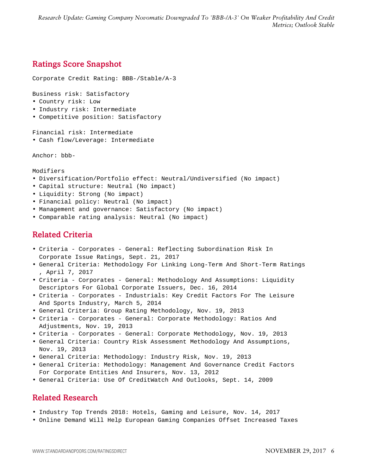*Research Update: Gaming Company Novomatic Downgraded To 'BBB-/A-3' On Weaker Profitability And Credit Metrics; Outlook Stable*

# <span id="page-5-0"></span>Ratings Score Snapshot

Corporate Credit Rating: BBB-/Stable/A-3

Business risk: Satisfactory

- Country risk: Low
- Industry risk: Intermediate
- Competitive position: Satisfactory

Financial risk: Intermediate

• Cash flow/Leverage: Intermediate

Anchor: bbb-

Modifiers

- Diversification/Portfolio effect: Neutral/Undiversified (No impact)
- Capital structure: Neutral (No impact)
- Liquidity: Strong (No impact)
- Financial policy: Neutral (No impact)
- Management and governance: Satisfactory (No impact)
- <span id="page-5-1"></span>• Comparable rating analysis: Neutral (No impact)

# Related Criteria

- Criteria Corporates General: Reflecting Subordination Risk In Corporate Issue Ratings, Sept. 21, 2017
- General Criteria: Methodology For Linking Long-Term And Short-Term Ratings , April 7, 2017
- Criteria Corporates General: Methodology And Assumptions: Liquidity Descriptors For Global Corporate Issuers, Dec. 16, 2014
- Criteria Corporates Industrials: Key Credit Factors For The Leisure And Sports Industry, March 5, 2014
- General Criteria: Group Rating Methodology, Nov. 19, 2013
- Criteria Corporates General: Corporate Methodology: Ratios And Adjustments, Nov. 19, 2013
- Criteria Corporates General: Corporate Methodology, Nov. 19, 2013
- General Criteria: Country Risk Assessment Methodology And Assumptions, Nov. 19, 2013
- General Criteria: Methodology: Industry Risk, Nov. 19, 2013
- General Criteria: Methodology: Management And Governance Credit Factors For Corporate Entities And Insurers, Nov. 13, 2012
- <span id="page-5-2"></span>• General Criteria: Use Of CreditWatch And Outlooks, Sept. 14, 2009

## Related Research

- Industry Top Trends 2018: Hotels, Gaming and Leisure, Nov. 14, 2017
- Online Demand Will Help European Gaming Companies Offset Increased Taxes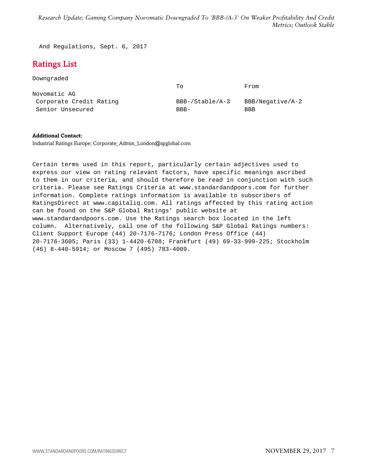<span id="page-6-0"></span>And Regulations, Sept. 6, 2017

# Ratings List

Downgraded

|                         | To              | From             |
|-------------------------|-----------------|------------------|
| Novomatic AG            |                 |                  |
| Corporate Credit Rating | BBB-/Stable/A-3 | BBB/Negative/A-2 |
| Senior Unsecured        | $BBB -$         | <b>BBB</b>       |

#### **Additional Contact:**

Industrial Ratings Europe; Corporate\_Admin\_London@spglobal.com

Certain terms used in this report, particularly certain adjectives used to express our view on rating relevant factors, have specific meanings ascribed to them in our criteria, and should therefore be read in conjunction with such criteria. Please see Ratings Criteria at www.standardandpoors.com for further information. Complete ratings information is available to subscribers of RatingsDirect at www.capitaliq.com. All ratings affected by this rating action can be found on the S&P Global Ratings' public website at www.standardandpoors.com. Use the Ratings search box located in the left column. Alternatively, call one of the following S&P Global Ratings numbers: Client Support Europe (44) 20-7176-7176; London Press Office (44) 20-7176-3605; Paris (33) 1-4420-6708; Frankfurt (49) 69-33-999-225; Stockholm (46) 8-440-5914; or Moscow 7 (495) 783-4009.